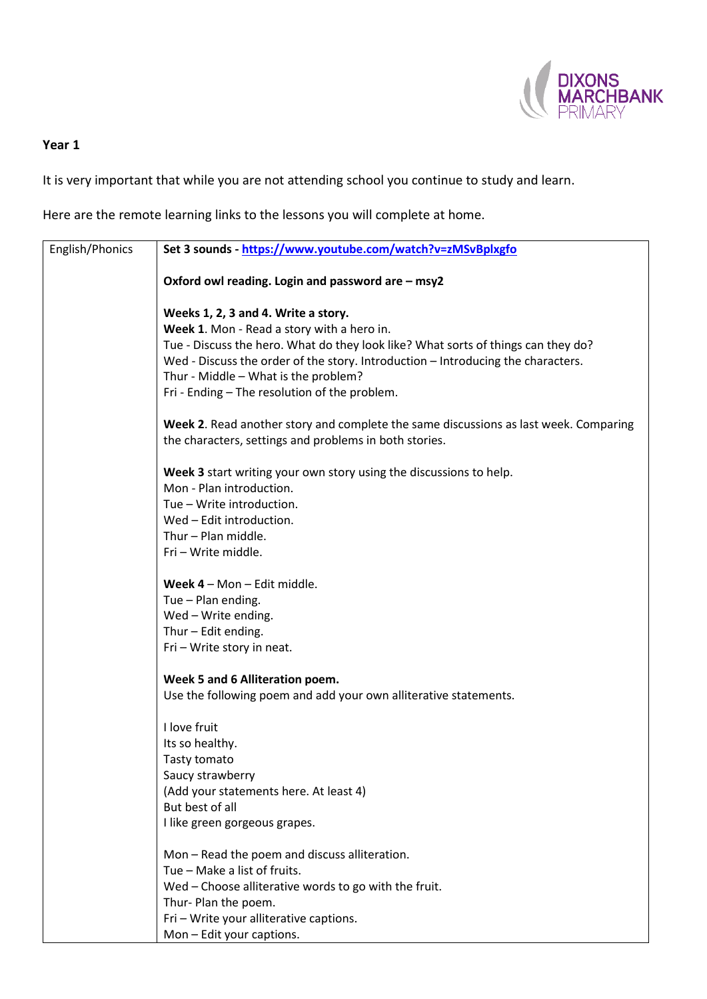

## **Year 1**

It is very important that while you are not attending school you continue to study and learn.

Here are the remote learning links to the lessons you will complete at home.

| English/Phonics | Set 3 sounds - https://www.youtube.com/watch?v=zMSvBplxgfo                           |
|-----------------|--------------------------------------------------------------------------------------|
|                 | Oxford owl reading. Login and password are - msy2                                    |
|                 | Weeks 1, 2, 3 and 4. Write a story.                                                  |
|                 | Week 1. Mon - Read a story with a hero in.                                           |
|                 | Tue - Discuss the hero. What do they look like? What sorts of things can they do?    |
|                 | Wed - Discuss the order of the story. Introduction - Introducing the characters.     |
|                 | Thur - Middle - What is the problem?                                                 |
|                 | Fri - Ending - The resolution of the problem.                                        |
|                 | Week 2. Read another story and complete the same discussions as last week. Comparing |
|                 | the characters, settings and problems in both stories.                               |
|                 | Week 3 start writing your own story using the discussions to help.                   |
|                 | Mon - Plan introduction.                                                             |
|                 | Tue - Write introduction.                                                            |
|                 | Wed - Edit introduction.                                                             |
|                 | Thur - Plan middle.                                                                  |
|                 | Fri - Write middle.                                                                  |
|                 | Week 4 - Mon - Edit middle.                                                          |
|                 | Tue - Plan ending.                                                                   |
|                 | Wed - Write ending.                                                                  |
|                 | Thur - Edit ending.                                                                  |
|                 | Fri - Write story in neat.                                                           |
|                 | Week 5 and 6 Alliteration poem.                                                      |
|                 | Use the following poem and add your own alliterative statements.                     |
|                 | I love fruit                                                                         |
|                 | Its so healthy.                                                                      |
|                 | Tasty tomato                                                                         |
|                 | Saucy strawberry                                                                     |
|                 | (Add your statements here. At least 4)                                               |
|                 | But best of all                                                                      |
|                 | I like green gorgeous grapes.                                                        |
|                 | Mon - Read the poem and discuss alliteration.                                        |
|                 | Tue - Make a list of fruits.                                                         |
|                 | Wed - Choose alliterative words to go with the fruit.                                |
|                 | Thur- Plan the poem.                                                                 |
|                 | Fri - Write your alliterative captions.                                              |
|                 | Mon-Edit your captions.                                                              |